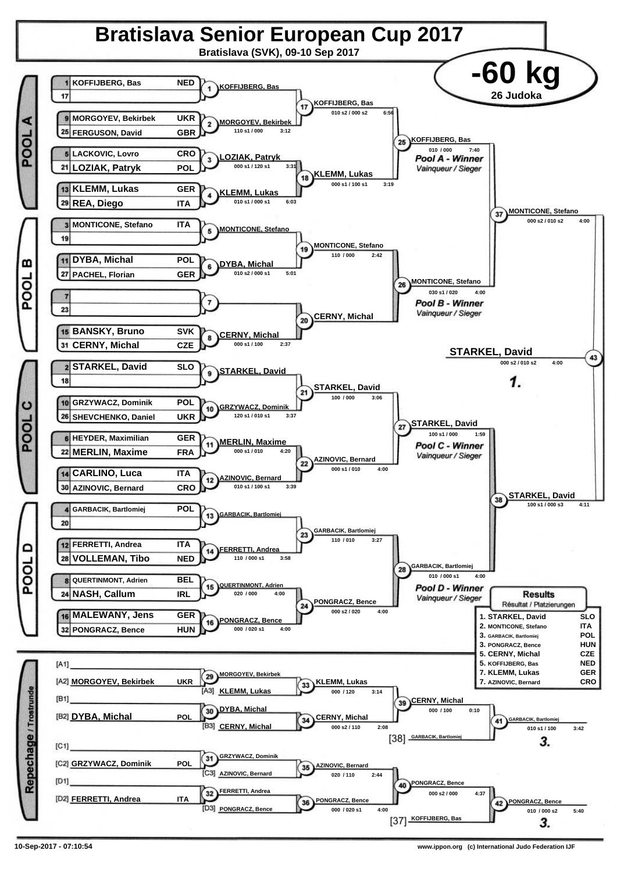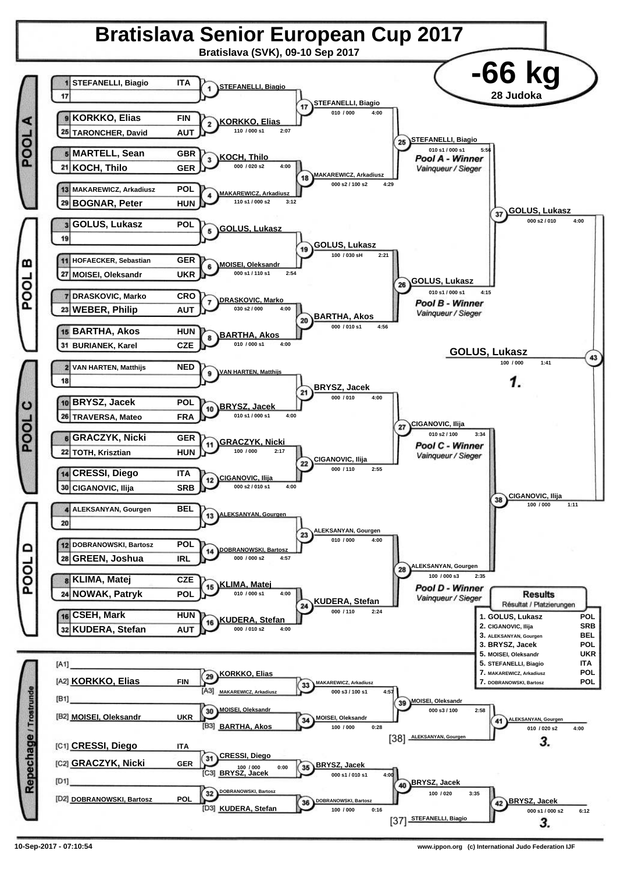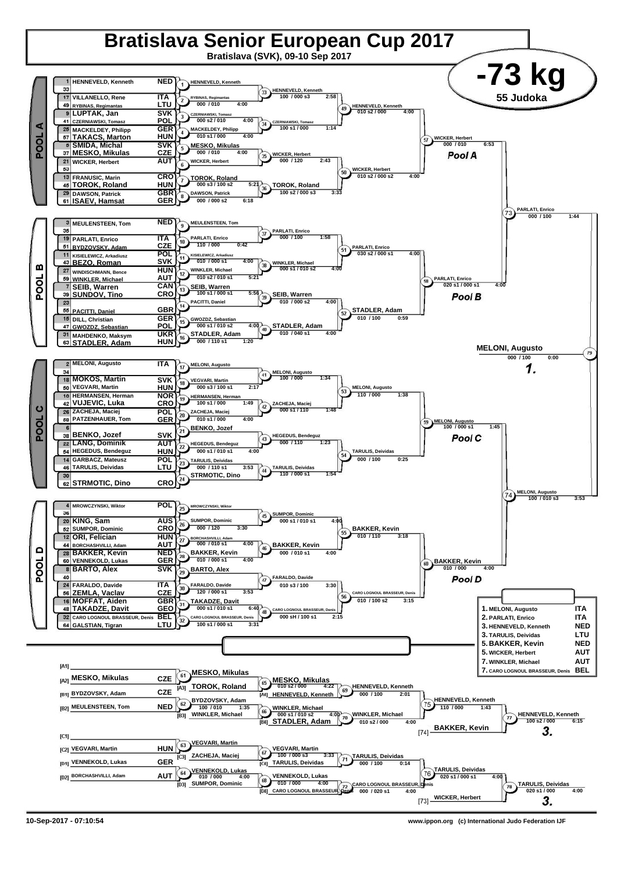

**<sup>10-</sup>Sep-2017 - 07:10:54 www.ippon.org (c) International Judo Federation IJF**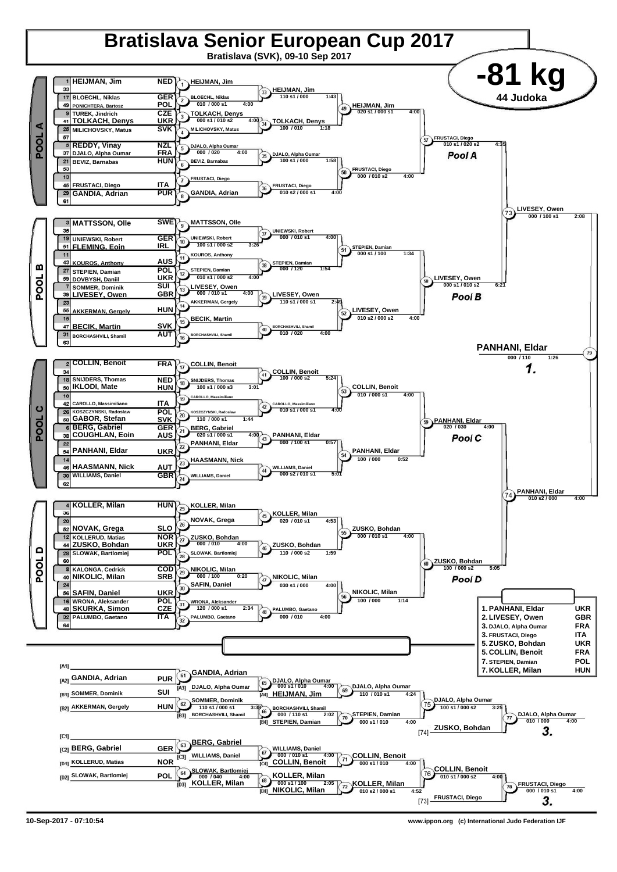

**10-Sep-2017 - 07:10:54 www.ippon.org (c) International Judo Federation IJF**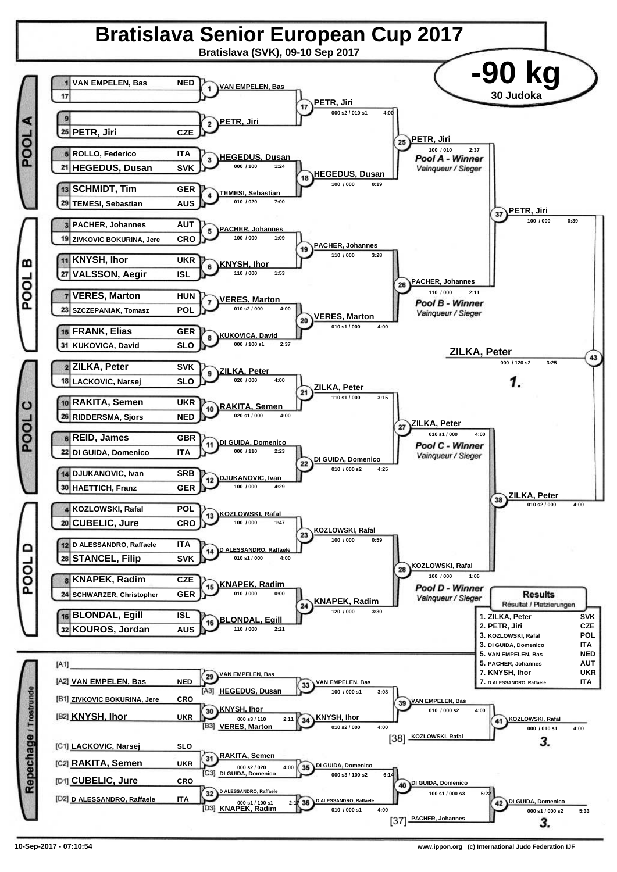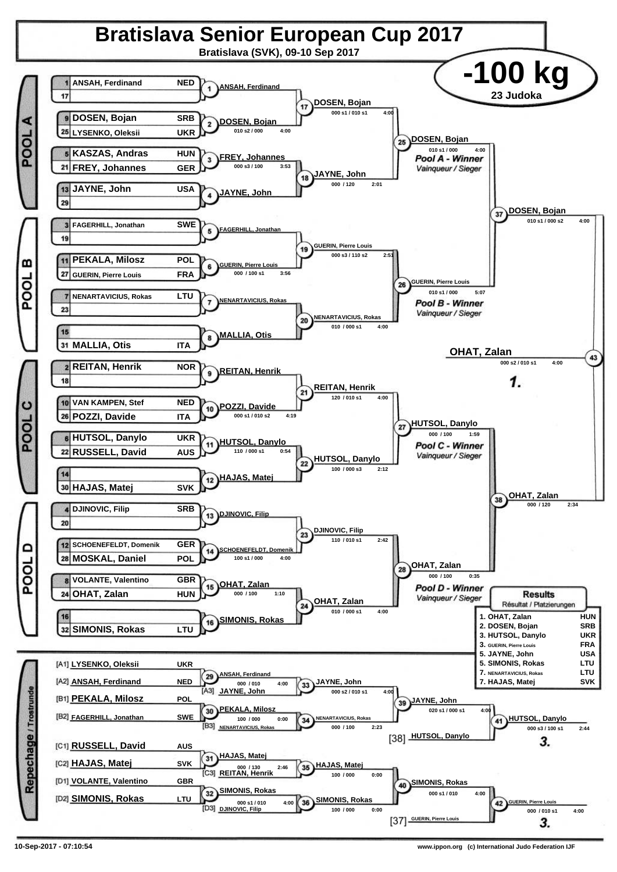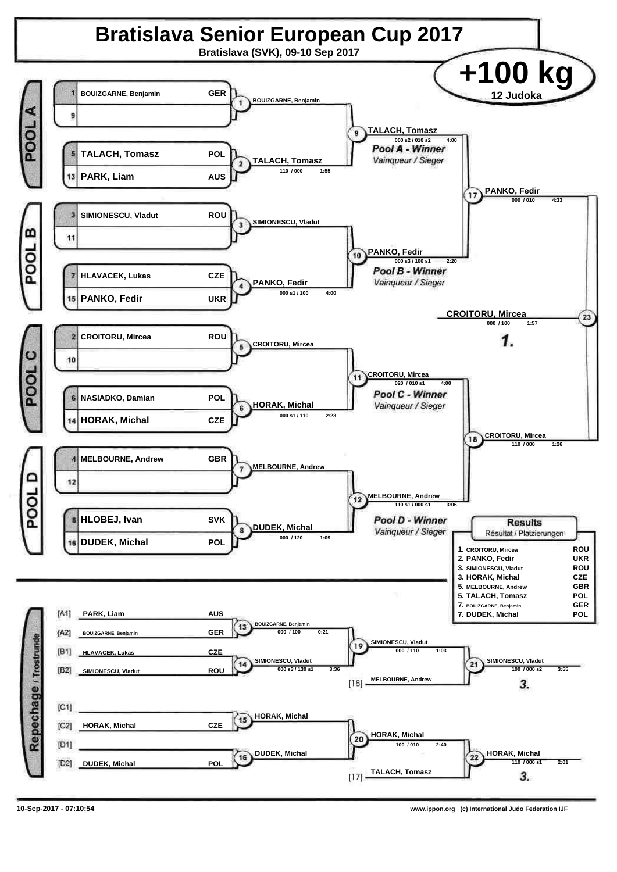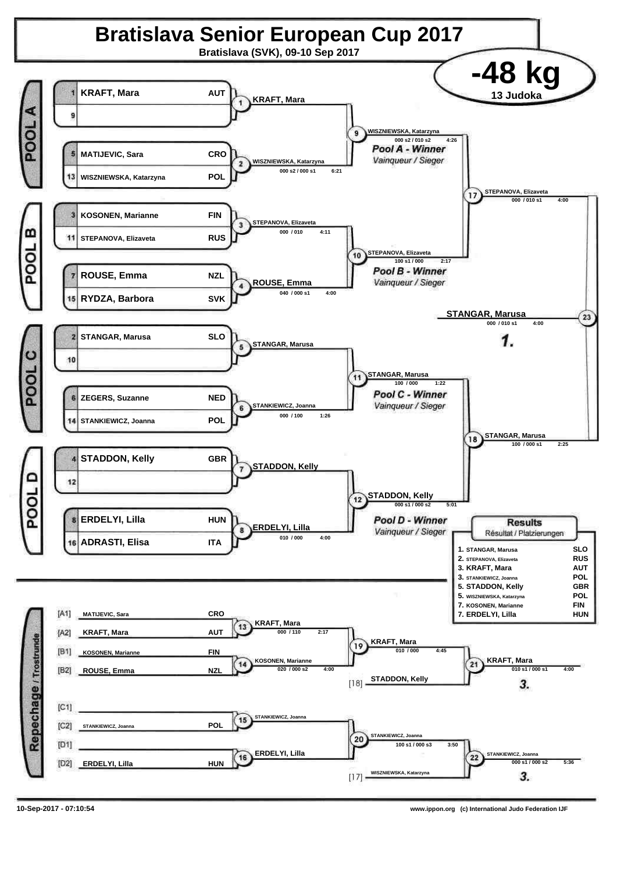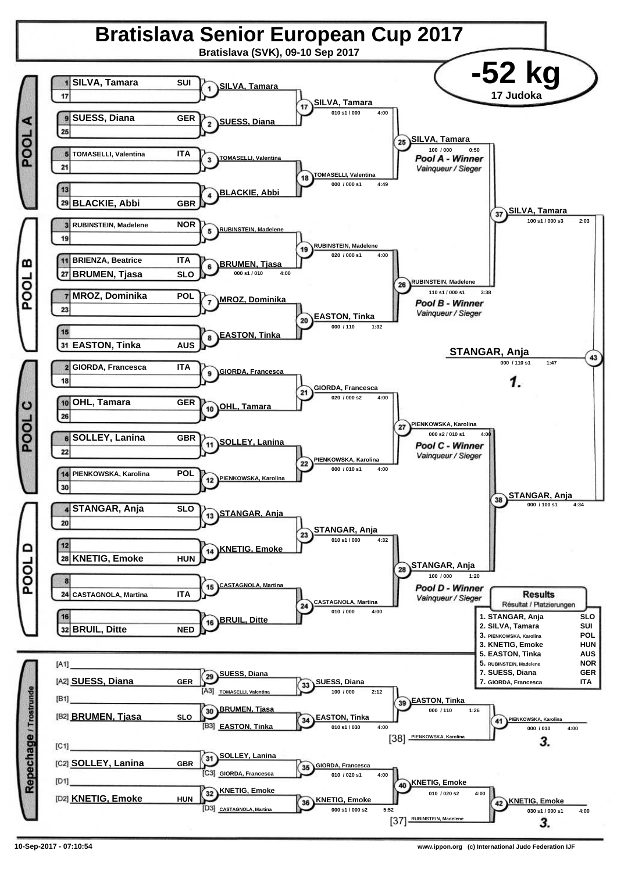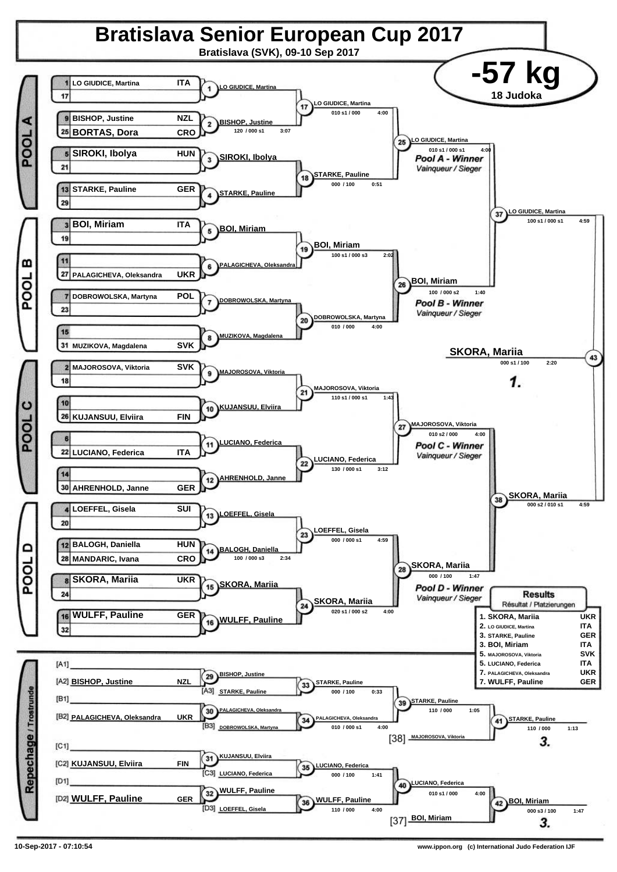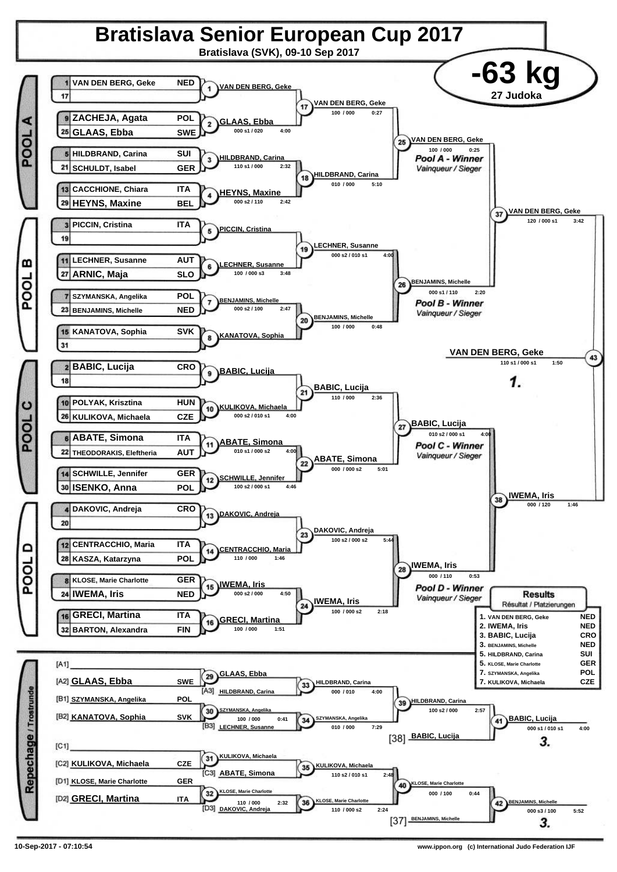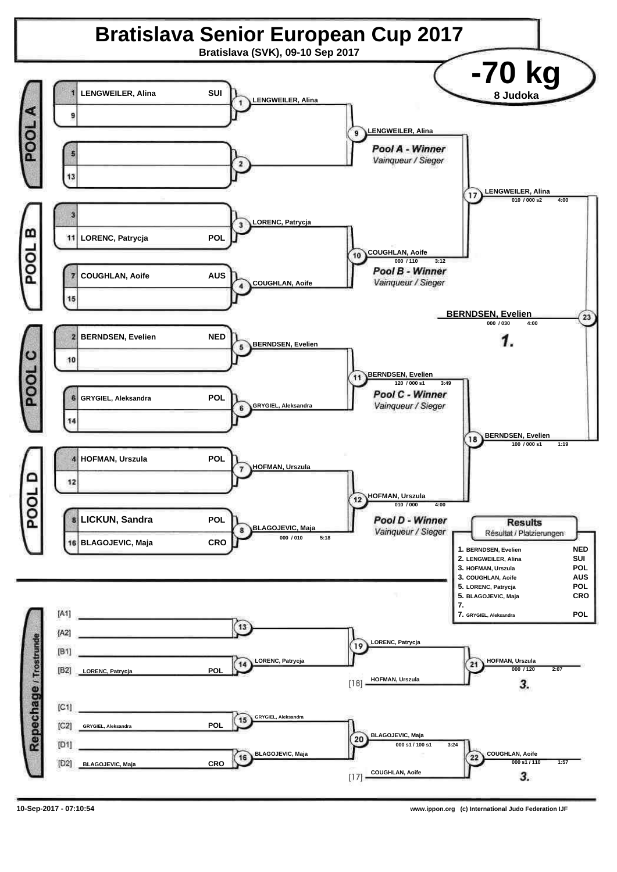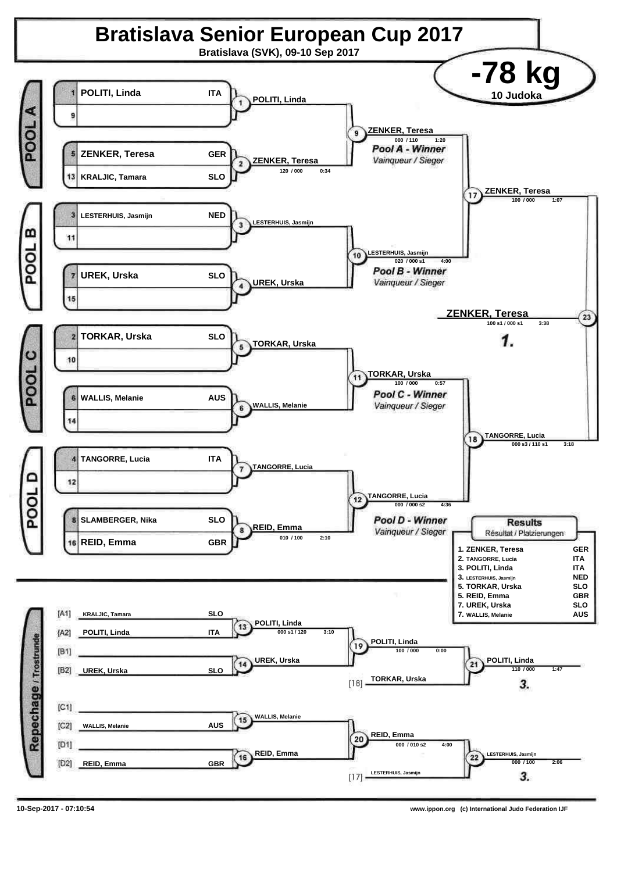